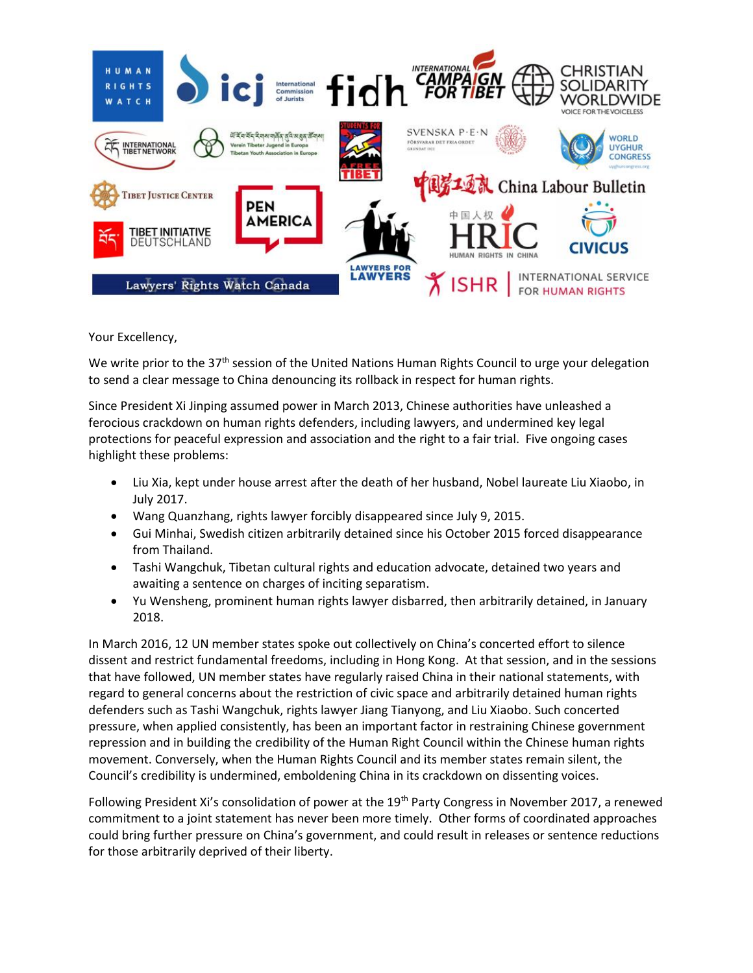

Your Excellency,

We write prior to the  $37<sup>th</sup>$  session of the United Nations Human Rights Council to urge your delegation to send a clear message to China denouncing its rollback in respect for human rights.

Since President Xi Jinping assumed power in March 2013, Chinese authorities have unleashed a ferocious crackdown on human rights defenders, including lawyers, and undermined key legal protections for peaceful expression and association and the right to a fair trial. Five ongoing cases highlight these problems:

- Liu Xia, kept under house arrest after the death of her husband, Nobel laureate Liu Xiaobo, in July 2017.
- Wang Quanzhang, rights lawyer forcibly disappeared since July 9, 2015.
- Gui Minhai, Swedish citizen arbitrarily detained since his October 2015 forced disappearance from Thailand.
- Tashi Wangchuk, Tibetan cultural rights and education advocate, detained two years and awaiting a sentence on charges of inciting separatism.
- Yu Wensheng, prominent human rights lawyer disbarred, then arbitrarily detained, in January 2018.

In March 2016, 12 UN member states spoke out collectively on China's concerted effort to silence dissent and restrict fundamental freedoms, including in Hong Kong. At that session, and in the sessions that have followed, UN member states have regularly raised China in their national statements, with regard to general concerns about the restriction of civic space and arbitrarily detained human rights defenders such as Tashi Wangchuk, rights lawyer Jiang Tianyong, and Liu Xiaobo. Such concerted pressure, when applied consistently, has been an important factor in restraining Chinese government repression and in building the credibility of the Human Right Council within the Chinese human rights movement. Conversely, when the Human Rights Council and its member states remain silent, the Council's credibility is undermined, emboldening China in its crackdown on dissenting voices.

Following President Xi's consolidation of power at the 19<sup>th</sup> Party Congress in November 2017, a renewed commitment to a joint statement has never been more timely. Other forms of coordinated approaches could bring further pressure on China's government, and could result in releases or sentence reductions for those arbitrarily deprived of their liberty.